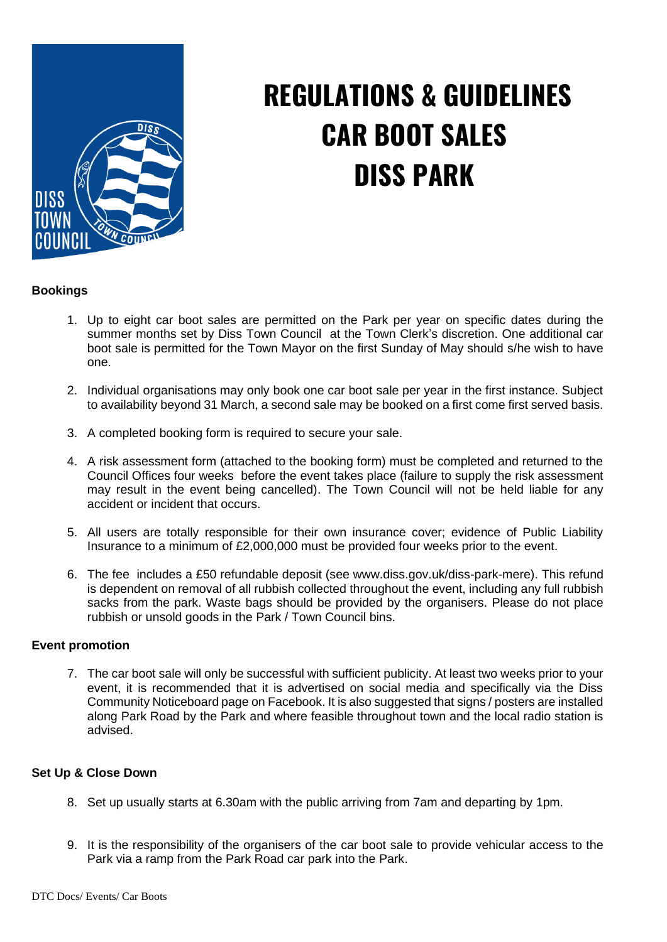

# **REGULATIONS & GUIDELINES CAR BOOT SALES DISS PARK**

# **Bookings**

- 1. Up to eight car boot sales are permitted on the Park per year on specific dates during the summer months set by Diss Town Council at the Town Clerk's discretion. One additional car boot sale is permitted for the Town Mayor on the first Sunday of May should s/he wish to have one.
- 2. Individual organisations may only book one car boot sale per year in the first instance. Subject to availability beyond 31 March, a second sale may be booked on a first come first served basis.
- 3. A completed booking form is required to secure your sale.
- 4. A risk assessment form (attached to the booking form) must be completed and returned to the Council Offices four weeks before the event takes place (failure to supply the risk assessment may result in the event being cancelled). The Town Council will not be held liable for any accident or incident that occurs.
- 5. All users are totally responsible for their own insurance cover; evidence of Public Liability Insurance to a minimum of £2,000,000 must be provided four weeks prior to the event.
- 6. The fee includes a £50 refundable deposit (see www.diss.gov.uk/diss-park-mere). This refund is dependent on removal of all rubbish collected throughout the event, including any full rubbish sacks from the park. Waste bags should be provided by the organisers. Please do not place rubbish or unsold goods in the Park / Town Council bins.

## **Event promotion**

7. The car boot sale will only be successful with sufficient publicity. At least two weeks prior to your event, it is recommended that it is advertised on social media and specifically via the Diss Community Noticeboard page on Facebook. It is also suggested that signs / posters are installed along Park Road by the Park and where feasible throughout town and the local radio station is advised.

## **Set Up & Close Down**

- 8. Set up usually starts at 6.30am with the public arriving from 7am and departing by 1pm.
- 9. It is the responsibility of the organisers of the car boot sale to provide vehicular access to the Park via a ramp from the Park Road car park into the Park.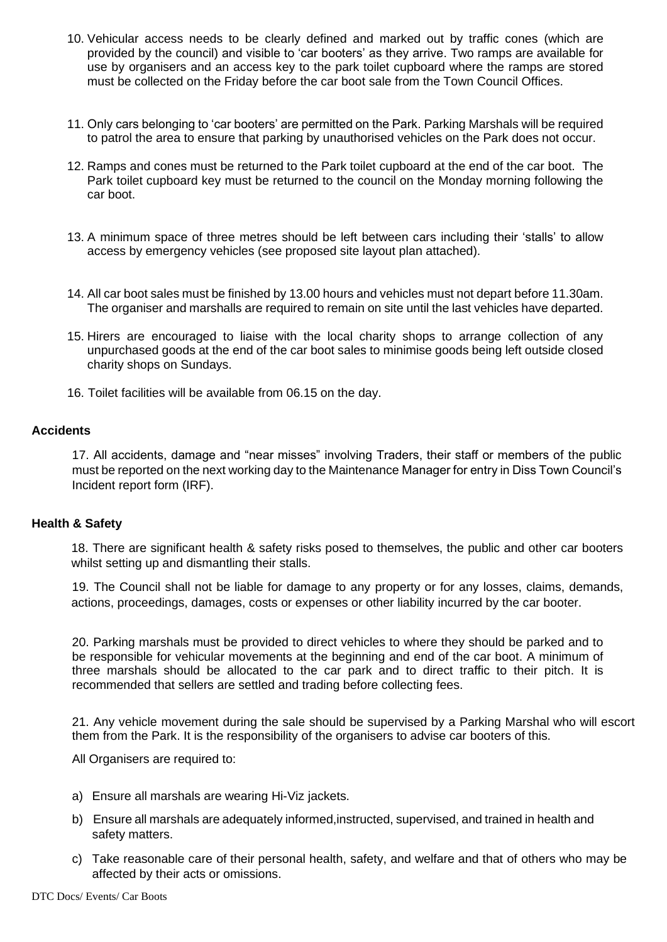- 10. Vehicular access needs to be clearly defined and marked out by traffic cones (which are provided by the council) and visible to 'car booters' as they arrive. Two ramps are available for use by organisers and an access key to the park toilet cupboard where the ramps are stored must be collected on the Friday before the car boot sale from the Town Council Offices.
- 11. Only cars belonging to 'car booters' are permitted on the Park. Parking Marshals will be required to patrol the area to ensure that parking by unauthorised vehicles on the Park does not occur.
- 12. Ramps and cones must be returned to the Park toilet cupboard at the end of the car boot. The Park toilet cupboard key must be returned to the council on the Monday morning following the car boot.
- 13. A minimum space of three metres should be left between cars including their 'stalls' to allow access by emergency vehicles (see proposed site layout plan attached).
- 14. All car boot sales must be finished by 13.00 hours and vehicles must not depart before 11.30am. The organiser and marshalls are required to remain on site until the last vehicles have departed.
- 15. Hirers are encouraged to liaise with the local charity shops to arrange collection of any unpurchased goods at the end of the car boot sales to minimise goods being left outside closed charity shops on Sundays.
- 16. Toilet facilities will be available from 06.15 on the day.

#### **Accidents**

17. All accidents, damage and "near misses" involving Traders, their staff or members of the public must be reported on the next working day to the Maintenance Manager for entry in Diss Town Council's Incident report form (IRF).

#### **Health & Safety**

18. There are significant health & safety risks posed to themselves, the public and other car booters whilst setting up and dismantling their stalls.

19. The Council shall not be liable for damage to any property or for any losses, claims, demands, actions, proceedings, damages, costs or expenses or other liability incurred by the car booter.

20. Parking marshals must be provided to direct vehicles to where they should be parked and to be responsible for vehicular movements at the beginning and end of the car boot. A minimum of three marshals should be allocated to the car park and to direct traffic to their pitch. It is recommended that sellers are settled and trading before collecting fees.

21. Any vehicle movement during the sale should be supervised by a Parking Marshal who will escort them from the Park. It is the responsibility of the organisers to advise car booters of this.

All Organisers are required to:

- a) Ensure all marshals are wearing Hi-Viz jackets.
- b) Ensure all marshals are adequately informed,instructed, supervised, and trained in health and safety matters.
- c) Take reasonable care of their personal health, safety, and welfare and that of others who may be affected by their acts or omissions.